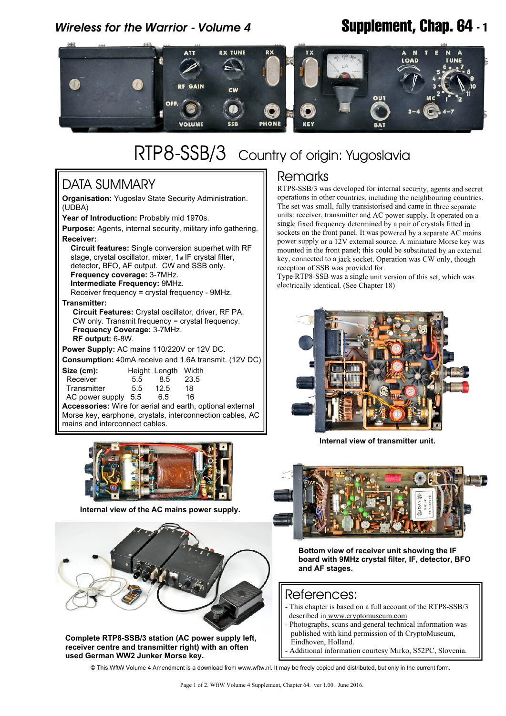## *Wireless for the Warrior - Volume 4* **Supplement, Chap. 64 - 1**



# RTP8-SSB/3 Country of origin: Yugoslavia

### DATA SUMMARY

**Organisation:** Yugoslav State Security Administration. (UDBA)

**Year of Introduction:** Probably mid 1970s.

**Purpose:** Agents, internal security, military info gathering. **Receiver:**

 **Circuit features:** Single conversion superhet with RF stage, crystal oscillator, mixer, 1st IF crystal filter, detector, BFO, AF output. CW and SSB only.  **Frequency coverage:** 3-7MHz.  **Intermediate Frequency:** 9MHz.

Receiver frequency = crystal frequency - 9MHz.

**Transmitter:**

 **Circuit Features:** Crystal oscillator, driver, RF PA. CW only. Transmit frequency = crystal frequency.  **Frequency Coverage:** 3-7MHz.  **RF output:** 6-8W.

**Power Supply:** AC mains 110/220V or 12V DC.

**Consumption:** 40mA receive and 1.6A transmit. (12V DC)

| Size (cm):                             |      | Height Length | Width |  |
|----------------------------------------|------|---------------|-------|--|
| Receiver                               | 5.5  | 8.5           | 23.5  |  |
| Transmitter                            | 5.5  | 12.5          | 18    |  |
| AC power supply                        | -5.5 | 6.5           | 16    |  |
| Agononomian: Wire for periol and perth |      |               |       |  |

**Accessories:** Wire for aerial and earth, optional external Morse key, earphone, crystals, interconnection cables, AC mains and interconnect cables.



**Internal view of the AC mains power supply.**



**Complete RTP8-SSB/3 station (AC power supply left, receiver centre and transmitter right) with an often used German WW2 Junker Morse key.**

#### **Remarks**

RTP8-SSB/3 was developed for internal security, agents and secret operations in other countries, including the neighbouring countries. The set was small, fully transistorised and came in three separate units: receiver, transmitter and AC power supply. It operated on a single fixed frequency determined by a pair of crystals fitted in sockets on the front panel. It was powered by a separate AC mains power supply or a 12V external source. A miniature Morse key was mounted in the front panel; this could be substituted by an external key, connected to a jack socket. Operation was CW only, though reception of SSB was provided for.

Type RTP8-SSB was a single unit version of this set, which was electrically identical. (See Chapter 18)



**Internal view of transmitter unit.**



**Bottom view of receiver unit showing the IF board with 9MHz crystal filter, IF, detector, BFO and AF stages.**

#### References:

- This chapter is based on a full account of the RTP8-SSB/3 described in<www.cryptomuseum.com>
- Photographs, scans and general technical information was published with kind permission of th CryptoMuseum, Eindhoven, Holland.
- Additional information courtesy Mirko, S52PC, Slovenia.

© This WftW Volume 4 Amendment is a download from www.wftw.nl. It may be freely copied and distributed, but only in the current form.